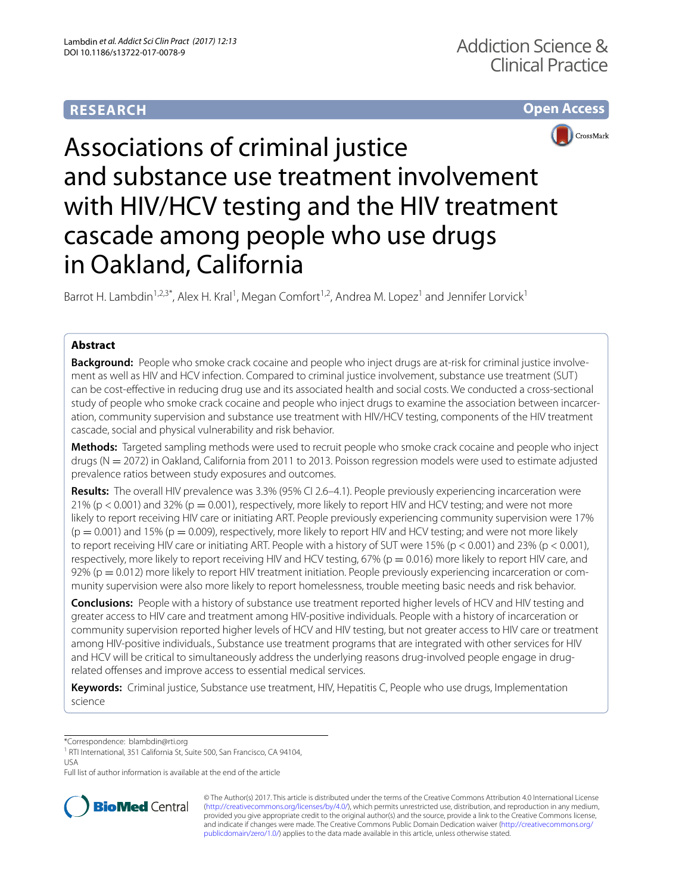# **RESEARCH**





# Associations of criminal justice and substance use treatment involvement with HIV/HCV testing and the HIV treatment cascade among people who use drugs in Oakland, California

Barrot H. Lambdin<sup>1,2,3\*</sup>, Alex H. Kral<sup>1</sup>, Megan Comfort<sup>1,2</sup>, Andrea M. Lopez<sup>1</sup> and Jennifer Lorvick<sup>1</sup>

# **Abstract**

**Background:** People who smoke crack cocaine and people who inject drugs are at-risk for criminal justice involvement as well as HIV and HCV infection. Compared to criminal justice involvement, substance use treatment (SUT) can be cost-efective in reducing drug use and its associated health and social costs. We conducted a cross-sectional study of people who smoke crack cocaine and people who inject drugs to examine the association between incarceration, community supervision and substance use treatment with HIV/HCV testing, components of the HIV treatment cascade, social and physical vulnerability and risk behavior.

**Methods:** Targeted sampling methods were used to recruit people who smoke crack cocaine and people who inject drugs (N = 2072) in Oakland, California from 2011 to 2013. Poisson regression models were used to estimate adjusted prevalence ratios between study exposures and outcomes.

**Results:** The overall HIV prevalence was 3.3% (95% CI 2.6–4.1). People previously experiencing incarceration were  $21\%$  (p < 0.001) and 32% (p = 0.001), respectively, more likely to report HIV and HCV testing; and were not more likely to report receiving HIV care or initiating ART. People previously experiencing community supervision were 17%  $(p = 0.001)$  and 15% ( $p = 0.009$ ), respectively, more likely to report HIV and HCV testing; and were not more likely to report receiving HIV care or initiating ART. People with a history of SUT were 15% ( $p < 0.001$ ) and 23% ( $p < 0.001$ ), respectively, more likely to report receiving HIV and HCV testing, 67% ( $p = 0.016$ ) more likely to report HIV care, and 92% (p = 0.012) more likely to report HIV treatment initiation. People previously experiencing incarceration or community supervision were also more likely to report homelessness, trouble meeting basic needs and risk behavior.

**Conclusions:** People with a history of substance use treatment reported higher levels of HCV and HIV testing and greater access to HIV care and treatment among HIV-positive individuals. People with a history of incarceration or community supervision reported higher levels of HCV and HIV testing, but not greater access to HIV care or treatment among HIV-positive individuals., Substance use treatment programs that are integrated with other services for HIV and HCV will be critical to simultaneously address the underlying reasons drug-involved people engage in drugrelated offenses and improve access to essential medical services.

**Keywords:** Criminal justice, Substance use treatment, HIV, Hepatitis C, People who use drugs, Implementation science

\*Correspondence: blambdin@rti.org

Full list of author information is available at the end of the article



© The Author(s) 2017. This article is distributed under the terms of the Creative Commons Attribution 4.0 International License [\(http://creativecommons.org/licenses/by/4.0/\)](http://creativecommons.org/licenses/by/4.0/), which permits unrestricted use, distribution, and reproduction in any medium, provided you give appropriate credit to the original author(s) and the source, provide a link to the Creative Commons license, and indicate if changes were made. The Creative Commons Public Domain Dedication waiver ([http://creativecommons.org/](http://creativecommons.org/publicdomain/zero/1.0/) [publicdomain/zero/1.0/](http://creativecommons.org/publicdomain/zero/1.0/)) applies to the data made available in this article, unless otherwise stated.

<sup>&</sup>lt;sup>1</sup> RTI International, 351 California St, Suite 500, San Francisco, CA 94104, USA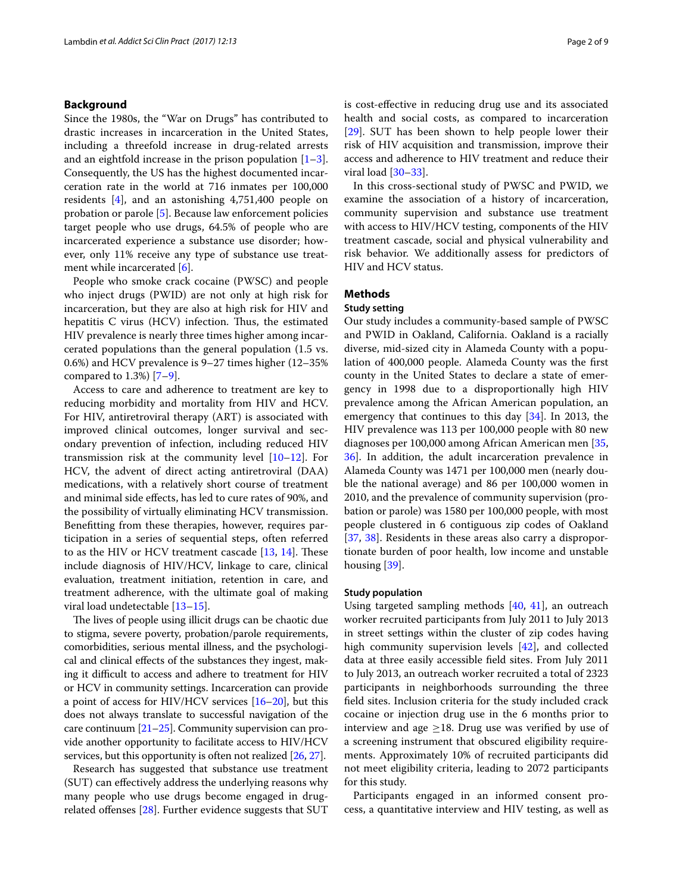### **Background**

Since the 1980s, the "War on Drugs" has contributed to drastic increases in incarceration in the United States, including a threefold increase in drug-related arrests and an eightfold increase in the prison population  $[1-3]$  $[1-3]$ . Consequently, the US has the highest documented incarceration rate in the world at 716 inmates per 100,000 residents [[4\]](#page-7-2), and an astonishing 4,751,400 people on probation or parole [\[5](#page-7-3)]. Because law enforcement policies target people who use drugs, 64.5% of people who are incarcerated experience a substance use disorder; however, only 11% receive any type of substance use treatment while incarcerated [[6\]](#page-7-4).

People who smoke crack cocaine (PWSC) and people who inject drugs (PWID) are not only at high risk for incarceration, but they are also at high risk for HIV and hepatitis C virus (HCV) infection. Thus, the estimated HIV prevalence is nearly three times higher among incarcerated populations than the general population (1.5 vs. 0.6%) and HCV prevalence is 9–27 times higher (12–35% compared to  $1.3\%$  [\[7](#page-7-5)-9].

Access to care and adherence to treatment are key to reducing morbidity and mortality from HIV and HCV. For HIV, antiretroviral therapy (ART) is associated with improved clinical outcomes, longer survival and secondary prevention of infection, including reduced HIV transmission risk at the community level [\[10](#page-7-7)–[12\]](#page-7-8). For HCV, the advent of direct acting antiretroviral (DAA) medications, with a relatively short course of treatment and minimal side efects, has led to cure rates of 90%, and the possibility of virtually eliminating HCV transmission. Beneftting from these therapies, however, requires participation in a series of sequential steps, often referred to as the HIV or HCV treatment cascade  $[13, 14]$  $[13, 14]$  $[13, 14]$  $[13, 14]$  $[13, 14]$ . These include diagnosis of HIV/HCV, linkage to care, clinical evaluation, treatment initiation, retention in care, and treatment adherence, with the ultimate goal of making viral load undetectable [\[13–](#page-7-9)[15\]](#page-7-11).

The lives of people using illicit drugs can be chaotic due to stigma, severe poverty, probation/parole requirements, comorbidities, serious mental illness, and the psychological and clinical efects of the substances they ingest, making it difficult to access and adhere to treatment for HIV or HCV in community settings. Incarceration can provide a point of access for HIV/HCV services [[16](#page-7-12)[–20\]](#page-7-13), but this does not always translate to successful navigation of the care continuum [\[21](#page-7-14)[–25](#page-7-15)]. Community supervision can provide another opportunity to facilitate access to HIV/HCV services, but this opportunity is often not realized [[26](#page-7-16), [27](#page-7-17)].

Research has suggested that substance use treatment (SUT) can efectively address the underlying reasons why many people who use drugs become engaged in drugrelated offenses  $[28]$ . Further evidence suggests that SUT is cost-efective in reducing drug use and its associated health and social costs, as compared to incarceration [[29\]](#page-7-19). SUT has been shown to help people lower their risk of HIV acquisition and transmission, improve their access and adherence to HIV treatment and reduce their viral load [\[30–](#page-7-20)[33\]](#page-7-21).

In this cross-sectional study of PWSC and PWID, we examine the association of a history of incarceration, community supervision and substance use treatment with access to HIV/HCV testing, components of the HIV treatment cascade, social and physical vulnerability and risk behavior. We additionally assess for predictors of HIV and HCV status.

# **Methods**

# **Study setting**

Our study includes a community-based sample of PWSC and PWID in Oakland, California. Oakland is a racially diverse, mid-sized city in Alameda County with a population of 400,000 people. Alameda County was the frst county in the United States to declare a state of emergency in 1998 due to a disproportionally high HIV prevalence among the African American population, an emergency that continues to this day [\[34](#page-8-0)]. In 2013, the HIV prevalence was 113 per 100,000 people with 80 new diagnoses per 100,000 among African American men [[35](#page-8-1), [36\]](#page-8-2). In addition, the adult incarceration prevalence in Alameda County was 1471 per 100,000 men (nearly double the national average) and 86 per 100,000 women in 2010, and the prevalence of community supervision (probation or parole) was 1580 per 100,000 people, with most people clustered in 6 contiguous zip codes of Oakland [[37,](#page-8-3) [38\]](#page-8-4). Residents in these areas also carry a disproportionate burden of poor health, low income and unstable housing [[39\]](#page-8-5).

#### **Study population**

Using targeted sampling methods [[40](#page-8-6), [41](#page-8-7)], an outreach worker recruited participants from July 2011 to July 2013 in street settings within the cluster of zip codes having high community supervision levels [[42\]](#page-8-8), and collected data at three easily accessible feld sites. From July 2011 to July 2013, an outreach worker recruited a total of 2323 participants in neighborhoods surrounding the three feld sites. Inclusion criteria for the study included crack cocaine or injection drug use in the 6 months prior to interview and age  $\geq$ 18. Drug use was verified by use of a screening instrument that obscured eligibility requirements. Approximately 10% of recruited participants did not meet eligibility criteria, leading to 2072 participants for this study.

Participants engaged in an informed consent process, a quantitative interview and HIV testing, as well as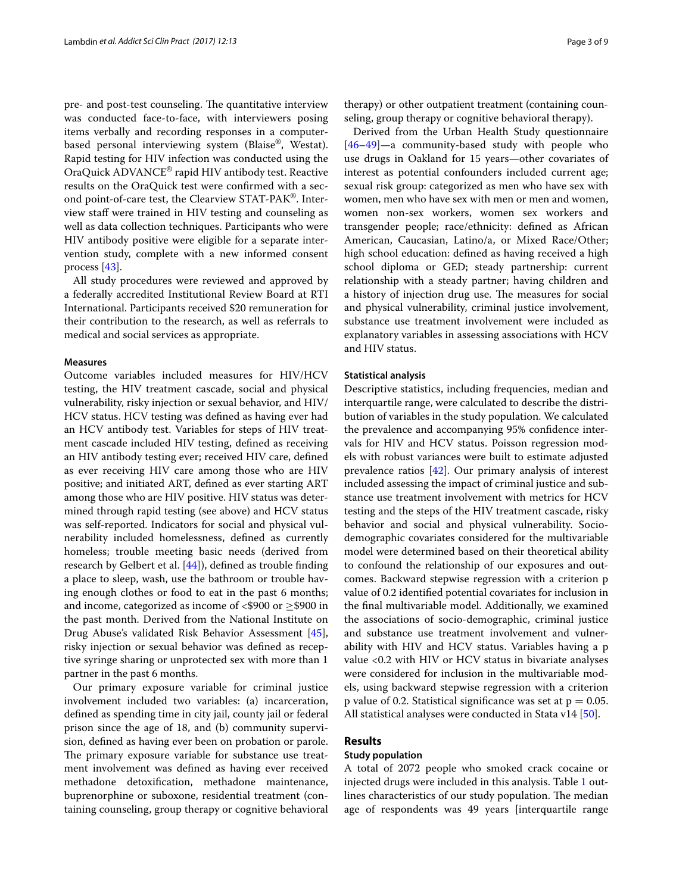pre- and post-test counseling. The quantitative interview was conducted face-to-face, with interviewers posing items verbally and recording responses in a computerbased personal interviewing system (Blaise®, Westat). Rapid testing for HIV infection was conducted using the OraQuick ADVANCE® rapid HIV antibody test. Reactive results on the OraQuick test were confrmed with a second point-of-care test, the Clearview STAT-PAK®. Interview staff were trained in HIV testing and counseling as well as data collection techniques. Participants who were HIV antibody positive were eligible for a separate intervention study, complete with a new informed consent process [[43\]](#page-8-9).

All study procedures were reviewed and approved by a federally accredited Institutional Review Board at RTI International. Participants received \$20 remuneration for their contribution to the research, as well as referrals to medical and social services as appropriate.

#### **Measures**

Outcome variables included measures for HIV/HCV testing, the HIV treatment cascade, social and physical vulnerability, risky injection or sexual behavior, and HIV/ HCV status. HCV testing was defned as having ever had an HCV antibody test. Variables for steps of HIV treatment cascade included HIV testing, defned as receiving an HIV antibody testing ever; received HIV care, defned as ever receiving HIV care among those who are HIV positive; and initiated ART, defned as ever starting ART among those who are HIV positive. HIV status was determined through rapid testing (see above) and HCV status was self-reported. Indicators for social and physical vulnerability included homelessness, defned as currently homeless; trouble meeting basic needs (derived from research by Gelbert et al. [[44\]](#page-8-10)), defned as trouble fnding a place to sleep, wash, use the bathroom or trouble having enough clothes or food to eat in the past 6 months; and income, categorized as income of  $<$ \$900 or  $\geq$ \$900 in the past month. Derived from the National Institute on Drug Abuse's validated Risk Behavior Assessment [\[45](#page-8-11)], risky injection or sexual behavior was defned as receptive syringe sharing or unprotected sex with more than 1 partner in the past 6 months.

Our primary exposure variable for criminal justice involvement included two variables: (a) incarceration, defned as spending time in city jail, county jail or federal prison since the age of 18, and (b) community supervision, defned as having ever been on probation or parole. The primary exposure variable for substance use treatment involvement was defned as having ever received methadone detoxifcation, methadone maintenance, buprenorphine or suboxone, residential treatment (containing counseling, group therapy or cognitive behavioral therapy) or other outpatient treatment (containing counseling, group therapy or cognitive behavioral therapy).

Derived from the Urban Health Study questionnaire [[46–](#page-8-12)[49\]](#page-8-13)—a community-based study with people who use drugs in Oakland for 15 years—other covariates of interest as potential confounders included current age; sexual risk group: categorized as men who have sex with women, men who have sex with men or men and women, women non-sex workers, women sex workers and transgender people; race/ethnicity: defned as African American, Caucasian, Latino/a, or Mixed Race/Other; high school education: defned as having received a high school diploma or GED; steady partnership: current relationship with a steady partner; having children and a history of injection drug use. The measures for social and physical vulnerability, criminal justice involvement, substance use treatment involvement were included as explanatory variables in assessing associations with HCV and HIV status.

## **Statistical analysis**

Descriptive statistics, including frequencies, median and interquartile range, were calculated to describe the distribution of variables in the study population. We calculated the prevalence and accompanying 95% confdence intervals for HIV and HCV status. Poisson regression models with robust variances were built to estimate adjusted prevalence ratios [[42\]](#page-8-8). Our primary analysis of interest included assessing the impact of criminal justice and substance use treatment involvement with metrics for HCV testing and the steps of the HIV treatment cascade, risky behavior and social and physical vulnerability. Sociodemographic covariates considered for the multivariable model were determined based on their theoretical ability to confound the relationship of our exposures and outcomes. Backward stepwise regression with a criterion p value of 0.2 identifed potential covariates for inclusion in the fnal multivariable model. Additionally, we examined the associations of socio-demographic, criminal justice and substance use treatment involvement and vulnerability with HIV and HCV status. Variables having a p value <0.2 with HIV or HCV status in bivariate analyses were considered for inclusion in the multivariable models, using backward stepwise regression with a criterion p value of 0.2. Statistical significance was set at  $p = 0.05$ . All statistical analyses were conducted in Stata v14 [\[50](#page-8-14)].

### **Results**

# **Study population**

A total of 2072 people who smoked crack cocaine or injected drugs were included in this analysis. Table [1](#page-3-0) outlines characteristics of our study population. The median age of respondents was 49 years [interquartile range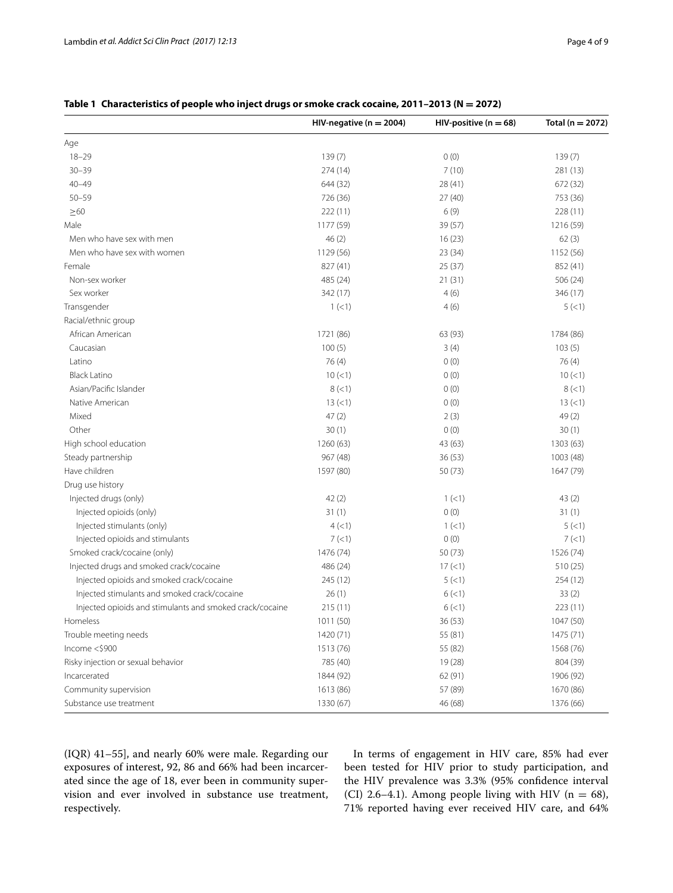|                                                          | HIV-negative ( $n = 2004$ ) | HIV-positive ( $n = 68$ ) | Total (n = 2072) |
|----------------------------------------------------------|-----------------------------|---------------------------|------------------|
| Age                                                      |                             |                           |                  |
| $18 - 29$                                                | 139(7)                      | 0(0)                      | 139 (7)          |
| $30 - 39$                                                | 274 (14)                    | 7(10)                     | 281 (13)         |
| $40 - 49$                                                | 644 (32)                    | 28 (41)                   | 672 (32)         |
| $50 - 59$                                                | 726 (36)                    | 27(40)                    | 753 (36)         |
| $\geq 60$                                                | 222(11)                     | 6(9)                      | 228 (11)         |
| Male                                                     | 1177 (59)                   | 39 (57)                   | 1216 (59)        |
| Men who have sex with men                                | 46(2)                       | 16(23)                    | 62(3)            |
| Men who have sex with women                              | 1129 (56)                   | 23(34)                    | 1152 (56)        |
| Female                                                   | 827 (41)                    | 25(37)                    | 852 (41)         |
| Non-sex worker                                           | 485 (24)                    | 21(31)                    | 506(24)          |
| Sex worker                                               | 342 (17)                    | 4(6)                      | 346 (17)         |
| Transgender                                              | 1 (< 1)                     | 4(6)                      | 5(1)             |
| Racial/ethnic group                                      |                             |                           |                  |
| African American                                         | 1721 (86)                   | 63 (93)                   | 1784 (86)        |
| Caucasian                                                | 100(5)                      | 3(4)                      | 103(5)           |
| Latino                                                   | 76(4)                       | 0(0)                      | 76(4)            |
| <b>Black Latino</b>                                      | 10(<1)                      | 0(0)                      | $10 (=1)$        |
| Asian/Pacific Islander                                   | 8(<1)                       | 0(0)                      | 8 (< 1)          |
| Native American                                          | 13(1)                       | 0(0)                      | 13(1)            |
| Mixed                                                    | 47(2)                       | 2(3)                      | 49 (2)           |
| Other                                                    | 30(1)                       | 0(0)                      | 30(1)            |
| High school education                                    | 1260 (63)                   | 43 (63)                   | 1303 (63)        |
| Steady partnership                                       | 967 (48)                    | 36 (53)                   | 1003 (48)        |
| Have children                                            | 1597 (80)                   | 50(73)                    | 1647 (79)        |
| Drug use history                                         |                             |                           |                  |
| Injected drugs (only)                                    | 42(2)                       | 1(<1)                     | 43(2)            |
| Injected opioids (only)                                  | 31(1)                       | 0(0)                      | 31(1)            |
| Injected stimulants (only)                               | 4(1)                        | 1 (< 1)                   | 5(1)             |
| Injected opioids and stimulants                          | 7(1)                        | 0(0)                      | 7(1)             |
| Smoked crack/cocaine (only)                              | 1476 (74)                   | 50 (73)                   | 1526 (74)        |
| Injected drugs and smoked crack/cocaine                  | 486 (24)                    | 17 (< 1)                  | 510 (25)         |
| Injected opioids and smoked crack/cocaine                | 245 (12)                    | 5(<1)                     | 254 (12)         |
| Injected stimulants and smoked crack/cocaine             | 26(1)                       | 6(<1)                     | 33(2)            |
| Injected opioids and stimulants and smoked crack/cocaine | 215 (11)                    | 6(1)                      | 223(11)          |
| Homeless                                                 | 1011 (50)                   | 36 (53)                   | 1047 (50)        |
| Trouble meeting needs                                    | 1420 (71)                   | 55 (81)                   | 1475 (71)        |
| Income $<$ \$900                                         | 1513 (76)                   | 55 (82)                   | 1568 (76)        |
| Risky injection or sexual behavior                       | 785 (40)                    | 19 (28)                   | 804 (39)         |
| Incarcerated                                             | 1844 (92)                   | 62 (91)                   | 1906 (92)        |
| Community supervision                                    | 1613 (86)                   | 57 (89)                   | 1670 (86)        |
| Substance use treatment                                  | 1330 (67)                   | 46 (68)                   | 1376 (66)        |

# <span id="page-3-0"></span>**Table 1 Characteristics of people who inject drugs or smoke crack cocaine, 2011–2013 (N = 2072)**

(IQR) 41–55], and nearly 60% were male. Regarding our exposures of interest, 92, 86 and 66% had been incarcerated since the age of 18, ever been in community supervision and ever involved in substance use treatment, respectively.

In terms of engagement in HIV care, 85% had ever been tested for HIV prior to study participation, and the HIV prevalence was 3.3% (95% confdence interval (CI) 2.6–4.1). Among people living with HIV ( $n = 68$ ), 71% reported having ever received HIV care, and 64%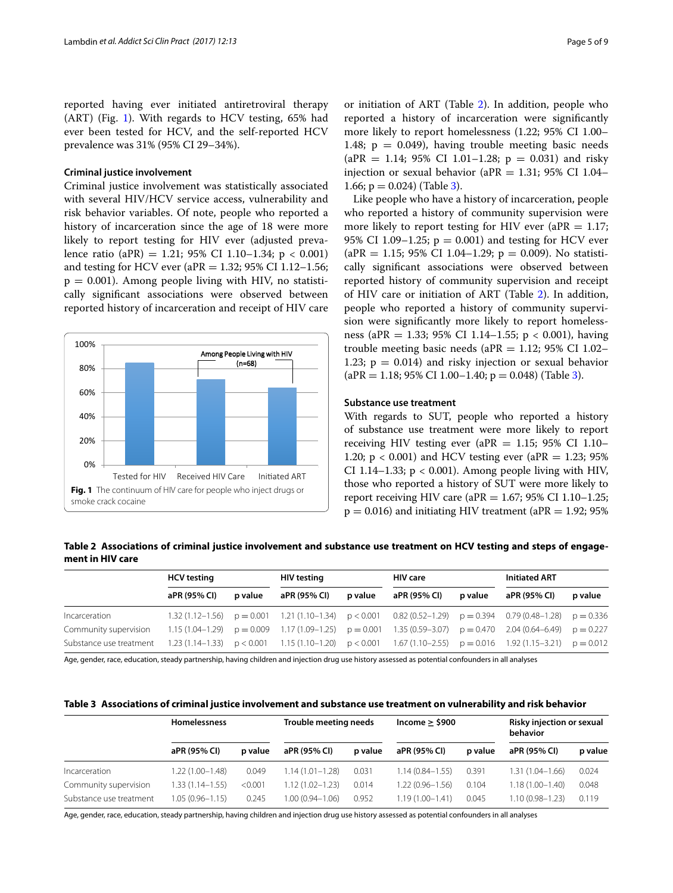reported having ever initiated antiretroviral therapy (ART) (Fig. [1\)](#page-4-0). With regards to HCV testing, 65% had ever been tested for HCV, and the self-reported HCV prevalence was 31% (95% CI 29–34%).

#### **Criminal justice involvement**

Criminal justice involvement was statistically associated with several HIV/HCV service access, vulnerability and risk behavior variables. Of note, people who reported a history of incarceration since the age of 18 were more likely to report testing for HIV ever (adjusted prevalence ratio (aPR) = 1.21; 95% CI 1.10-1.34; p < 0.001) and testing for HCV ever (aPR = 1.32; 95% CI 1.12–1.56;  $p = 0.001$ ). Among people living with HIV, no statistically signifcant associations were observed between reported history of incarceration and receipt of HIV care



or initiation of ART (Table [2\)](#page-4-1). In addition, people who reported a history of incarceration were signifcantly more likely to report homelessness (1.22; 95% CI 1.00– 1.48;  $p = 0.049$ , having trouble meeting basic needs  $(aPR = 1.14; 95\% \text{ CI } 1.01 - 1.28; p = 0.031)$  and risky injection or sexual behavior (aPR =  $1.31$ ; 95% CI 1.04-1.66;  $p = 0.024$ ) (Table [3\)](#page-4-2).

Like people who have a history of incarceration, people who reported a history of community supervision were more likely to report testing for HIV ever (aPR  $= 1.17$ ; 95% CI 1.09–1.25;  $p = 0.001$ ) and testing for HCV ever  $(aPR = 1.15; 95\% CI 1.04-1.29; p = 0.009)$ . No statistically signifcant associations were observed between reported history of community supervision and receipt of HIV care or initiation of ART (Table [2\)](#page-4-1). In addition, people who reported a history of community supervision were signifcantly more likely to report homelessness (aPR = 1.33; 95% CI 1.14–1.55; p < 0.001), having trouble meeting basic needs ( $aPR = 1.12$ ; 95% CI 1.02– 1.23;  $p = 0.014$ ) and risky injection or sexual behavior  $(aPR = 1.18; 95\% \text{ CI } 1.00-1.40; p = 0.048)$  (Table [3](#page-4-2)).

#### **Substance use treatment**

With regards to SUT, people who reported a history of substance use treatment were more likely to report receiving HIV testing ever (aPR  $= 1.15$ ; 95% CI 1.10– 1.20;  $p < 0.001$ ) and HCV testing ever (aPR = 1.23; 95%) CI 1.14–1.33;  $p < 0.001$ ). Among people living with HIV, those who reported a history of SUT were more likely to report receiving HIV care (aPR = 1.67; 95% CI 1.10–1.25;  $p = 0.016$ ) and initiating HIV treatment (aPR = 1.92; 95%)

<span id="page-4-1"></span><span id="page-4-0"></span>**Table 2 Associations of criminal justice involvement and substance use treatment on HCV testing and steps of engagement in HIV care**

|                         | <b>HCV</b> testing |         | HIV testing  |         | <b>HIV</b> care                                                                                                         |         | <b>Initiated ART</b> |         |
|-------------------------|--------------------|---------|--------------|---------|-------------------------------------------------------------------------------------------------------------------------|---------|----------------------|---------|
|                         | aPR (95% CI)       | p value | aPR (95% CI) | p value | aPR (95% CI)                                                                                                            | p value | aPR (95% CI)         | p value |
| Incarceration           |                    |         |              |         | $1.32(1.12-1.56)$ $p = 0.001$ $1.21(1.10-1.34)$ $p < 0.001$ $0.82(0.52-1.29)$ $p = 0.394$ $0.79(0.48-1.28)$ $p = 0.336$ |         |                      |         |
| Community supervision   |                    |         |              |         | 1.15 (1.04–1.29) $p = 0.009$ 1.17 (1.09–1.25) $p = 0.001$ 1.35 (0.59–3.07) $p = 0.470$ 2.04 (0.64–6.49) $p = 0.227$     |         |                      |         |
| Substance use treatment |                    |         |              |         | 1.23 (1.14–1.33) $p < 0.001$ 1.15 (1.10–1.20) $p < 0.001$ 1.67 (1.10–2.55) $p = 0.016$ 1.92 (1.15–3.21) $p = 0.012$     |         |                      |         |

Age, gender, race, education, steady partnership, having children and injection drug use history assessed as potential confounders in all analyses

<span id="page-4-2"></span>

| Table 3 Associations of criminal justice involvement and substance use treatment on vulnerability and risk behavior |  |
|---------------------------------------------------------------------------------------------------------------------|--|
|---------------------------------------------------------------------------------------------------------------------|--|

|                         | <b>Homelessness</b> |         | Trouble meeting needs |         | Income $\ge$ \$900  |         | Risky injection or sexual<br>behavior |         |
|-------------------------|---------------------|---------|-----------------------|---------|---------------------|---------|---------------------------------------|---------|
|                         | aPR (95% CI)        | p value | aPR (95% CI)          | p value | aPR (95% CI)        | p value | aPR (95% CI)                          | p value |
| Incarceration           | 1.22 (1.00-1.48)    | 0.049   | $1.14(1.01 - 1.28)$   | 0.031   | $1.14(0.84 - 1.55)$ | 0.391   | $1.31(1.04 - 1.66)$                   | 0.024   |
| Community supervision   | $1.33(1.14 - 1.55)$ | < 0.001 | $1.12(1.02 - 1.23)$   | 0.014   | $1.22(0.96 - 1.56)$ | 0.104   | $1.18(1.00 - 1.40)$                   | 0.048   |
| Substance use treatment | $1.05(0.96 - 1.15)$ | 0.245   | 1.00 (0.94-1.06)      | 0.952   | $1.19(1.00 - 1.41)$ | 0.045   | 1.10 (0.98–1.23)                      | 0.119   |

Age, gender, race, education, steady partnership, having children and injection drug use history assessed as potential confounders in all analyses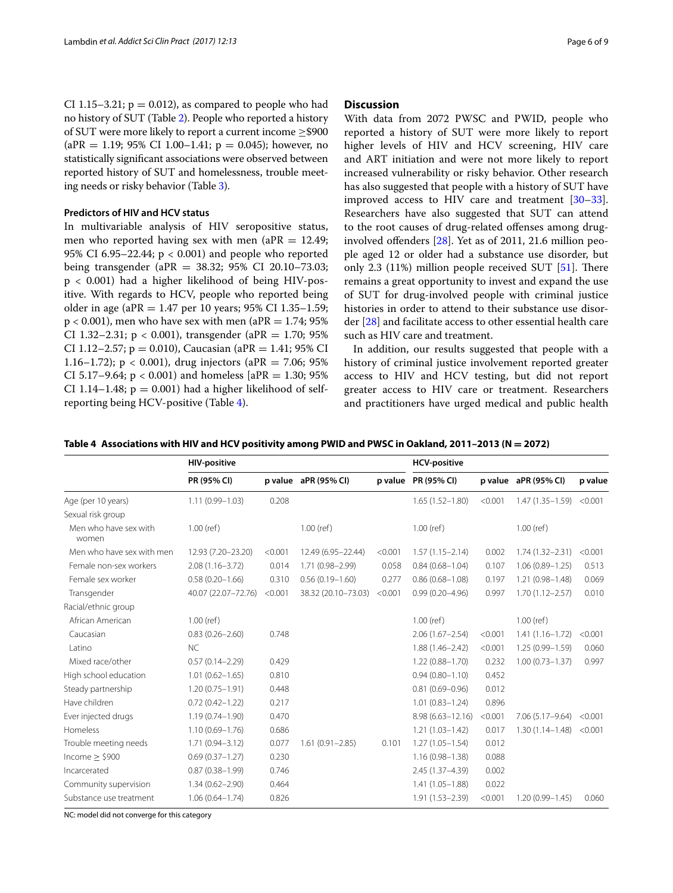CI 1.15–3.21;  $p = 0.012$ ), as compared to people who had no history of SUT (Table [2\)](#page-4-1). People who reported a history of SUT were more likely to report a current income  $\geq$ \$900  $(aPR = 1.19; 95\% \text{ CI } 1.00-1.41; p = 0.045);$  however, no statistically signifcant associations were observed between reported history of SUT and homelessness, trouble meeting needs or risky behavior (Table [3](#page-4-2)).

#### **Predictors of HIV and HCV status**

In multivariable analysis of HIV seropositive status, men who reported having sex with men (a $PR = 12.49$ ; 95% CI 6.95–22.44; p < 0.001) and people who reported being transgender (aPR =  $38.32$ ; 95% CI 20.10–73.03;  $p < 0.001$ ) had a higher likelihood of being HIV-positive. With regards to HCV, people who reported being older in age (aPR = 1.47 per 10 years; 95% CI 1.35–1.59;  $p < 0.001$ ), men who have sex with men (aPR = 1.74; 95%) CI 1.32–2.31;  $p < 0.001$ ), transgender (aPR = 1.70; 95%) CI 1.12–2.57;  $p = 0.010$ ), Caucasian (aPR = 1.41; 95% CI 1.16–1.72);  $p < 0.001$ ), drug injectors (aPR = 7.06; 95% CI 5.17–9.64;  $p < 0.001$ ) and homeless [aPR = 1.30; 95% CI 1.14–1.48;  $p = 0.001$ ) had a higher likelihood of selfreporting being HCV-positive (Table [4](#page-5-0)).

#### **Discussion**

With data from 2072 PWSC and PWID, people who reported a history of SUT were more likely to report higher levels of HIV and HCV screening, HIV care and ART initiation and were not more likely to report increased vulnerability or risky behavior. Other research has also suggested that people with a history of SUT have improved access to HIV care and treatment [[30](#page-7-20)[–33](#page-7-21)]. Researchers have also suggested that SUT can attend to the root causes of drug-related ofenses among druginvolved ofenders [\[28](#page-7-18)]. Yet as of 2011, 21.6 million people aged 12 or older had a substance use disorder, but only 2.3  $(11%)$  million people received SUT [\[51\]](#page-8-15). There remains a great opportunity to invest and expand the use of SUT for drug-involved people with criminal justice histories in order to attend to their substance use disorder [[28\]](#page-7-18) and facilitate access to other essential health care such as HIV care and treatment.

In addition, our results suggested that people with a history of criminal justice involvement reported greater access to HIV and HCV testing, but did not report greater access to HIV care or treatment. Researchers and practitioners have urged medical and public health

<span id="page-5-0"></span>

|  |  |  |  |  | Table 4 Associations with HIV and HCV positivity among PWID and PWSC in Oakland, 2011-2013 (N = 2072) |
|--|--|--|--|--|-------------------------------------------------------------------------------------------------------|
|--|--|--|--|--|-------------------------------------------------------------------------------------------------------|

|                                | <b>HIV-positive</b> |         |                      | <b>HCV-positive</b> |                      |         |                      |         |
|--------------------------------|---------------------|---------|----------------------|---------------------|----------------------|---------|----------------------|---------|
|                                | PR (95% CI)         |         | p value aPR (95% CI) |                     | p value PR (95% CI)  |         | p value aPR (95% CI) | p value |
| Age (per 10 years)             | $1.11(0.99 - 1.03)$ | 0.208   |                      |                     | $1.65(1.52 - 1.80)$  | < 0.001 | $1.47(1.35 - 1.59)$  | < 0.001 |
| Sexual risk group              |                     |         |                      |                     |                      |         |                      |         |
| Men who have sex with<br>women | $1.00$ (ref)        |         | $1.00$ (ref)         |                     | $1.00$ (ref)         |         | $1.00$ (ref)         |         |
| Men who have sex with men      | 12.93 (7.20-23.20)  | < 0.001 | 12.49 (6.95-22.44)   | < 0.001             | $1.57(1.15 - 2.14)$  | 0.002   | 1.74 (1.32-2.31)     | < 0.001 |
| Female non-sex workers         | $2.08(1.16 - 3.72)$ | 0.014   | 1.71 (0.98-2.99)     | 0.058               | $0.84(0.68 - 1.04)$  | 0.107   | $1.06(0.89 - 1.25)$  | 0.513   |
| Female sex worker              | $0.58(0.20 - 1.66)$ | 0.310   | $0.56(0.19 - 1.60)$  | 0.277               | $0.86(0.68 - 1.08)$  | 0.197   | $1.21(0.98 - 1.48)$  | 0.069   |
| Transgender                    | 40.07 (22.07-72.76) | < 0.001 | 38.32 (20.10-73.03)  | < 0.001             | $0.99(0.20 - 4.96)$  | 0.997   | $1.70(1.12 - 2.57)$  | 0.010   |
| Racial/ethnic group            |                     |         |                      |                     |                      |         |                      |         |
| African American               | $1.00$ (ref)        |         |                      |                     | $1.00$ (ref)         |         | $1.00$ (ref)         |         |
| Caucasian                      | $0.83(0.26 - 2.60)$ | 0.748   |                      |                     | $2.06(1.67 - 2.54)$  | < 0.001 | $1.41(1.16 - 1.72)$  | < 0.001 |
| l atino                        | <b>NC</b>           |         |                      |                     | $1.88(1.46 - 2.42)$  | < 0.001 | $1.25(0.99 - 1.59)$  | 0.060   |
| Mixed race/other               | $0.57(0.14 - 2.29)$ | 0.429   |                      |                     | $1.22(0.88 - 1.70)$  | 0.232   | $1.00(0.73 - 1.37)$  | 0.997   |
| High school education          | $1.01(0.62 - 1.65)$ | 0.810   |                      |                     | $0.94(0.80 - 1.10)$  | 0.452   |                      |         |
| Steady partnership             | $1.20(0.75 - 1.91)$ | 0.448   |                      |                     | $0.81(0.69 - 0.96)$  | 0.012   |                      |         |
| Have children                  | $0.72(0.42 - 1.22)$ | 0.217   |                      |                     | $1.01(0.83 - 1.24)$  | 0.896   |                      |         |
| Ever injected drugs            | $1.19(0.74 - 1.90)$ | 0.470   |                      |                     | $8.98(6.63 - 12.16)$ | < 0.001 | $7.06(5.17 - 9.64)$  | < 0.001 |
| Homeless                       | $1.10(0.69 - 1.76)$ | 0.686   |                      |                     | $1.21(1.03 - 1.42)$  | 0.017   | $1.30(1.14 - 1.48)$  | < 0.001 |
| Trouble meeting needs          | $1.71(0.94 - 3.12)$ | 0.077   | $1.61(0.91 - 2.85)$  | 0.101               | $1.27(1.05 - 1.54)$  | 0.012   |                      |         |
| income > \$900                 | $0.69(0.37 - 1.27)$ | 0.230   |                      |                     | $1.16(0.98 - 1.38)$  | 0.088   |                      |         |
| Incarcerated                   | $0.87(0.38 - 1.99)$ | 0.746   |                      |                     | 2.45 (1.37-4.39)     | 0.002   |                      |         |
| Community supervision          | $1.34(0.62 - 2.90)$ | 0.464   |                      |                     | $1.41(1.05 - 1.88)$  | 0.022   |                      |         |
| Substance use treatment        | $1.06(0.64 - 1.74)$ | 0.826   |                      |                     | $1.91(1.53 - 2.39)$  | < 0.001 | $1.20(0.99 - 1.45)$  | 0.060   |

NC: model did not converge for this category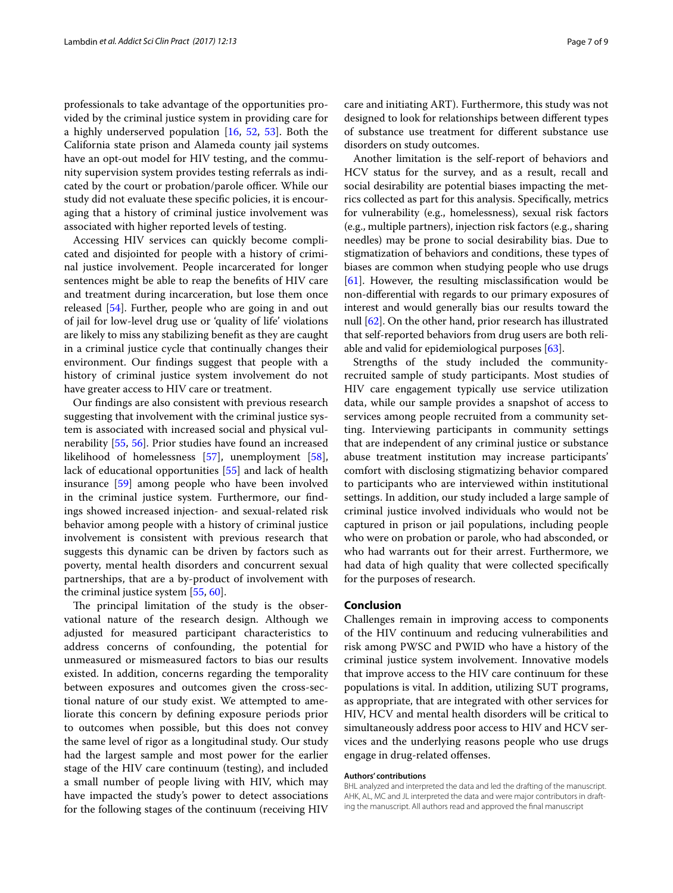professionals to take advantage of the opportunities provided by the criminal justice system in providing care for a highly underserved population [[16,](#page-7-12) [52,](#page-8-16) [53\]](#page-8-17). Both the California state prison and Alameda county jail systems have an opt-out model for HIV testing, and the community supervision system provides testing referrals as indicated by the court or probation/parole officer. While our study did not evaluate these specifc policies, it is encouraging that a history of criminal justice involvement was associated with higher reported levels of testing.

Accessing HIV services can quickly become complicated and disjointed for people with a history of criminal justice involvement. People incarcerated for longer sentences might be able to reap the benefts of HIV care and treatment during incarceration, but lose them once released [[54\]](#page-8-18). Further, people who are going in and out of jail for low-level drug use or 'quality of life' violations are likely to miss any stabilizing beneft as they are caught in a criminal justice cycle that continually changes their environment. Our fndings suggest that people with a history of criminal justice system involvement do not have greater access to HIV care or treatment.

Our fndings are also consistent with previous research suggesting that involvement with the criminal justice system is associated with increased social and physical vulnerability [[55](#page-8-19), [56](#page-8-20)]. Prior studies have found an increased likelihood of homelessness [\[57](#page-8-21)], unemployment [\[58](#page-8-22)], lack of educational opportunities [[55\]](#page-8-19) and lack of health insurance [\[59\]](#page-8-23) among people who have been involved in the criminal justice system. Furthermore, our fndings showed increased injection- and sexual-related risk behavior among people with a history of criminal justice involvement is consistent with previous research that suggests this dynamic can be driven by factors such as poverty, mental health disorders and concurrent sexual partnerships, that are a by-product of involvement with the criminal justice system [[55,](#page-8-19) [60](#page-8-24)].

The principal limitation of the study is the observational nature of the research design. Although we adjusted for measured participant characteristics to address concerns of confounding, the potential for unmeasured or mismeasured factors to bias our results existed. In addition, concerns regarding the temporality between exposures and outcomes given the cross-sectional nature of our study exist. We attempted to ameliorate this concern by defning exposure periods prior to outcomes when possible, but this does not convey the same level of rigor as a longitudinal study. Our study had the largest sample and most power for the earlier stage of the HIV care continuum (testing), and included a small number of people living with HIV, which may have impacted the study's power to detect associations for the following stages of the continuum (receiving HIV care and initiating ART). Furthermore, this study was not designed to look for relationships between diferent types of substance use treatment for diferent substance use disorders on study outcomes.

Another limitation is the self-report of behaviors and HCV status for the survey, and as a result, recall and social desirability are potential biases impacting the metrics collected as part for this analysis. Specifcally, metrics for vulnerability (e.g., homelessness), sexual risk factors (e.g., multiple partners), injection risk factors (e.g., sharing needles) may be prone to social desirability bias. Due to stigmatization of behaviors and conditions, these types of biases are common when studying people who use drugs [[61\]](#page-8-25). However, the resulting misclassifcation would be non-diferential with regards to our primary exposures of interest and would generally bias our results toward the null [[62\]](#page-8-26). On the other hand, prior research has illustrated that self-reported behaviors from drug users are both reliable and valid for epidemiological purposes [[63\]](#page-8-27).

Strengths of the study included the communityrecruited sample of study participants. Most studies of HIV care engagement typically use service utilization data, while our sample provides a snapshot of access to services among people recruited from a community setting. Interviewing participants in community settings that are independent of any criminal justice or substance abuse treatment institution may increase participants' comfort with disclosing stigmatizing behavior compared to participants who are interviewed within institutional settings. In addition, our study included a large sample of criminal justice involved individuals who would not be captured in prison or jail populations, including people who were on probation or parole, who had absconded, or who had warrants out for their arrest. Furthermore, we had data of high quality that were collected specifcally for the purposes of research.

#### **Conclusion**

Challenges remain in improving access to components of the HIV continuum and reducing vulnerabilities and risk among PWSC and PWID who have a history of the criminal justice system involvement. Innovative models that improve access to the HIV care continuum for these populations is vital. In addition, utilizing SUT programs, as appropriate, that are integrated with other services for HIV, HCV and mental health disorders will be critical to simultaneously address poor access to HIV and HCV services and the underlying reasons people who use drugs engage in drug-related offenses.

#### **Authors' contributions**

BHL analyzed and interpreted the data and led the drafting of the manuscript. AHK, AL, MC and JL interpreted the data and were major contributors in drafting the manuscript. All authors read and approved the fnal manuscript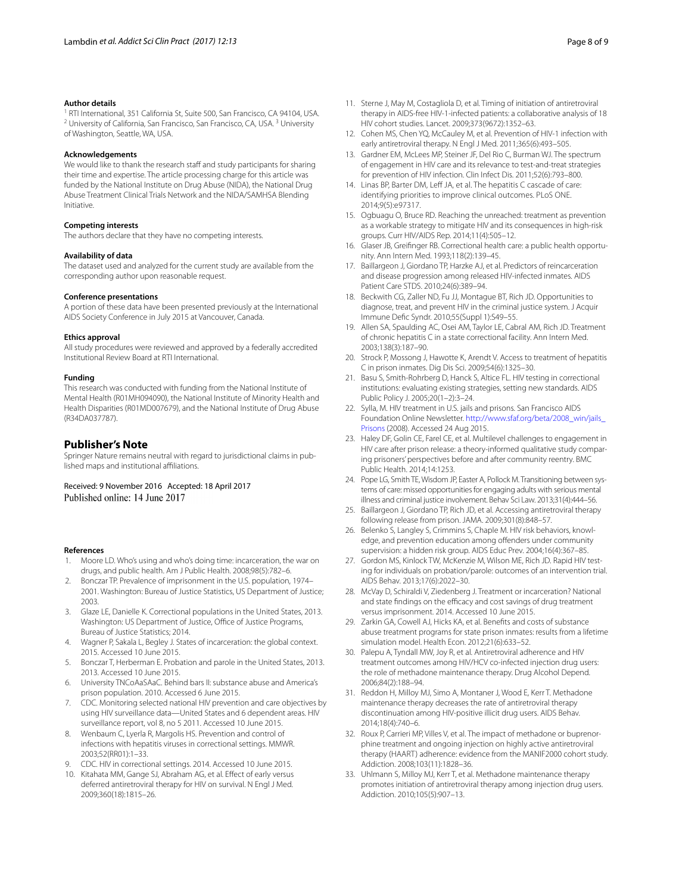#### **Author details**

<sup>1</sup> RTI International, 351 California St, Suite 500, San Francisco, CA 94104, USA. <sup>2</sup> University of California, San Francisco, San Francisco, CA, USA.<sup>3</sup> University of Washington, Seattle, WA, USA.

#### **Acknowledgements**

We would like to thank the research staff and study participants for sharing their time and expertise. The article processing charge for this article was funded by the National Institute on Drug Abuse (NIDA), the National Drug Abuse Treatment Clinical Trials Network and the NIDA/SAMHSA Blending Initiative.

#### **Competing interests**

The authors declare that they have no competing interests.

#### **Availability of data**

The dataset used and analyzed for the current study are available from the corresponding author upon reasonable request.

#### **Conference presentations**

A portion of these data have been presented previously at the International AIDS Society Conference in July 2015 at Vancouver, Canada.

#### **Ethics approval**

All study procedures were reviewed and approved by a federally accredited Institutional Review Board at RTI International.

#### **Funding**

This research was conducted with funding from the National Institute of Mental Health (R01MH094090), the National Institute of Minority Health and Health Disparities (R01MD007679), and the National Institute of Drug Abuse (R34DA037787).

#### **Publisher's Note**

Springer Nature remains neutral with regard to jurisdictional claims in published maps and institutional afliations.

Received: 9 November 2016 Accepted: 18 April 2017 Published online: 14 June 2017

#### **References**

- <span id="page-7-0"></span>1. Moore LD. Who's using and who's doing time: incarceration, the war on drugs, and public health. Am J Public Health. 2008;98(5):782–6.
- 2. Bonczar TP. Prevalence of imprisonment in the U.S. population, 1974– 2001. Washington: Bureau of Justice Statistics, US Department of Justice; 2003.
- <span id="page-7-1"></span>3. Glaze LE, Danielle K. Correctional populations in the United States, 2013. Washington: US Department of Justice, Office of Justice Programs, Bureau of Justice Statistics; 2014.
- <span id="page-7-2"></span>4. Wagner P, Sakala L, Begley J. States of incarceration: the global context. 2015. Accessed 10 June 2015.
- <span id="page-7-3"></span>5. Bonczar T, Herberman E. Probation and parole in the United States, 2013. 2013. Accessed 10 June 2015.
- <span id="page-7-4"></span>6. University TNCoAaSAaC. Behind bars II: substance abuse and America's prison population. 2010. Accessed 6 June 2015.
- <span id="page-7-5"></span>7. CDC. Monitoring selected national HIV prevention and care objectives by using HIV surveillance data—United States and 6 dependent areas. HIV surveillance report, vol 8, no 5 2011. Accessed 10 June 2015.
- 8. Wenbaum C, Lyerla R, Margolis HS. Prevention and control of infections with hepatitis viruses in correctional settings. MMWR. 2003;52(RR01):1–33.
- <span id="page-7-6"></span>9. CDC. HIV in correctional settings. 2014. Accessed 10 June 2015.
- <span id="page-7-7"></span>10. Kitahata MM, Gange SJ, Abraham AG, et al. Effect of early versus deferred antiretroviral therapy for HIV on survival. N Engl J Med. 2009;360(18):1815–26.
- 11. Sterne J, May M, Costagliola D, et al. Timing of initiation of antiretroviral therapy in AIDS-free HIV-1-infected patients: a collaborative analysis of 18 HIV cohort studies. Lancet. 2009;373(9672):1352–63.
- <span id="page-7-8"></span>12. Cohen MS, Chen YQ, McCauley M, et al. Prevention of HIV-1 infection with early antiretroviral therapy. N Engl J Med. 2011;365(6):493–505.
- <span id="page-7-9"></span>13. Gardner EM, McLees MP, Steiner JF, Del Rio C, Burman WJ. The spectrum of engagement in HIV care and its relevance to test-and-treat strategies for prevention of HIV infection. Clin Infect Dis. 2011;52(6):793–800.
- <span id="page-7-10"></span>14. Linas BP, Barter DM, Leff JA, et al. The hepatitis C cascade of care: identifying priorities to improve clinical outcomes. PLoS ONE. 2014;9(5):e97317.
- <span id="page-7-11"></span>15. Ogbuagu O, Bruce RD. Reaching the unreached: treatment as prevention as a workable strategy to mitigate HIV and its consequences in high-risk groups. Curr HIV/AIDS Rep. 2014;11(4):505–12.
- <span id="page-7-12"></span>16. Glaser JB, Greifnger RB. Correctional health care: a public health opportunity. Ann Intern Med. 1993;118(2):139–45.
- 17. Baillargeon J, Giordano TP, Harzke AJ, et al. Predictors of reincarceration and disease progression among released HIV-infected inmates. AIDS Patient Care STDS. 2010;24(6):389–94.
- 18. Beckwith CG, Zaller ND, Fu JJ, Montague BT, Rich JD. Opportunities to diagnose, treat, and prevent HIV in the criminal justice system. J Acquir Immune Defc Syndr. 2010;55(Suppl 1):S49–55.
- 19. Allen SA, Spaulding AC, Osei AM, Taylor LE, Cabral AM, Rich JD. Treatment of chronic hepatitis C in a state correctional facility. Ann Intern Med. 2003;138(3):187–90.
- <span id="page-7-13"></span>20. Strock P, Mossong J, Hawotte K, Arendt V. Access to treatment of hepatitis C in prison inmates. Dig Dis Sci. 2009;54(6):1325–30.
- <span id="page-7-14"></span>21. Basu S, Smith-Rohrberg D, Hanck S, Altice FL. HIV testing in correctional institutions: evaluating existing strategies, setting new standards. AIDS Public Policy J. 2005;20(1–2):3–24.
- 22. Sylla, M. HIV treatment in U.S. jails and prisons. San Francisco AIDS Foundation Online Newsletter. [http://www.sfaf.org/beta/2008\\_win/jails\\_](http://www.sfaf.org/%E2%80%8Bbeta/%E2%80%8B2008_%E2%80%8Bwin/%E2%80%8Bjails_%E2%80%8BPrisons) [Prisons](http://www.sfaf.org/%E2%80%8Bbeta/%E2%80%8B2008_%E2%80%8Bwin/%E2%80%8Bjails_%E2%80%8BPrisons) (2008). Accessed 24 Aug 2015.
- 23. Haley DF, Golin CE, Farel CE, et al. Multilevel challenges to engagement in HIV care after prison release: a theory-informed qualitative study comparing prisoners' perspectives before and after community reentry. BMC Public Health. 2014;14:1253.
- 24. Pope LG, Smith TE, Wisdom JP, Easter A, Pollock M. Transitioning between systems of care: missed opportunities for engaging adults with serious mental illness and criminal justice involvement. Behav Sci Law. 2013;31(4):444–56.
- <span id="page-7-15"></span>25. Baillargeon J, Giordano TP, Rich JD, et al. Accessing antiretroviral therapy following release from prison. JAMA. 2009;301(8):848–57.
- <span id="page-7-16"></span>26. Belenko S, Langley S, Crimmins S, Chaple M. HIV risk behaviors, knowledge, and prevention education among offenders under community supervision: a hidden risk group. AIDS Educ Prev. 2004;16(4):367–85.
- <span id="page-7-17"></span>27. Gordon MS, Kinlock TW, McKenzie M, Wilson ME, Rich JD. Rapid HIV testing for individuals on probation/parole: outcomes of an intervention trial. AIDS Behav. 2013;17(6):2022–30.
- <span id="page-7-18"></span>28. McVay D, Schiraldi V, Ziedenberg J. Treatment or incarceration? National and state findings on the efficacy and cost savings of drug treatment versus imprisonment. 2014. Accessed 10 June 2015.
- <span id="page-7-19"></span>29. Zarkin GA, Cowell AJ, Hicks KA, et al. Benefts and costs of substance abuse treatment programs for state prison inmates: results from a lifetime simulation model. Health Econ. 2012;21(6):633–52.
- <span id="page-7-20"></span>30. Palepu A, Tyndall MW, Joy R, et al. Antiretroviral adherence and HIV treatment outcomes among HIV/HCV co-infected injection drug users: the role of methadone maintenance therapy. Drug Alcohol Depend. 2006;84(2):188–94.
- 31. Reddon H, Milloy MJ, Simo A, Montaner J, Wood E, Kerr T. Methadone maintenance therapy decreases the rate of antiretroviral therapy discontinuation among HIV-positive illicit drug users. AIDS Behav. 2014;18(4):740–6.
- 32. Roux P, Carrieri MP, Villes V, et al. The impact of methadone or buprenorphine treatment and ongoing injection on highly active antiretroviral therapy (HAART) adherence: evidence from the MANIF2000 cohort study. Addiction. 2008;103(11):1828–36.
- <span id="page-7-21"></span>33. Uhlmann S, Milloy MJ, Kerr T, et al. Methadone maintenance therapy promotes initiation of antiretroviral therapy among injection drug users. Addiction. 2010;105(5):907–13.